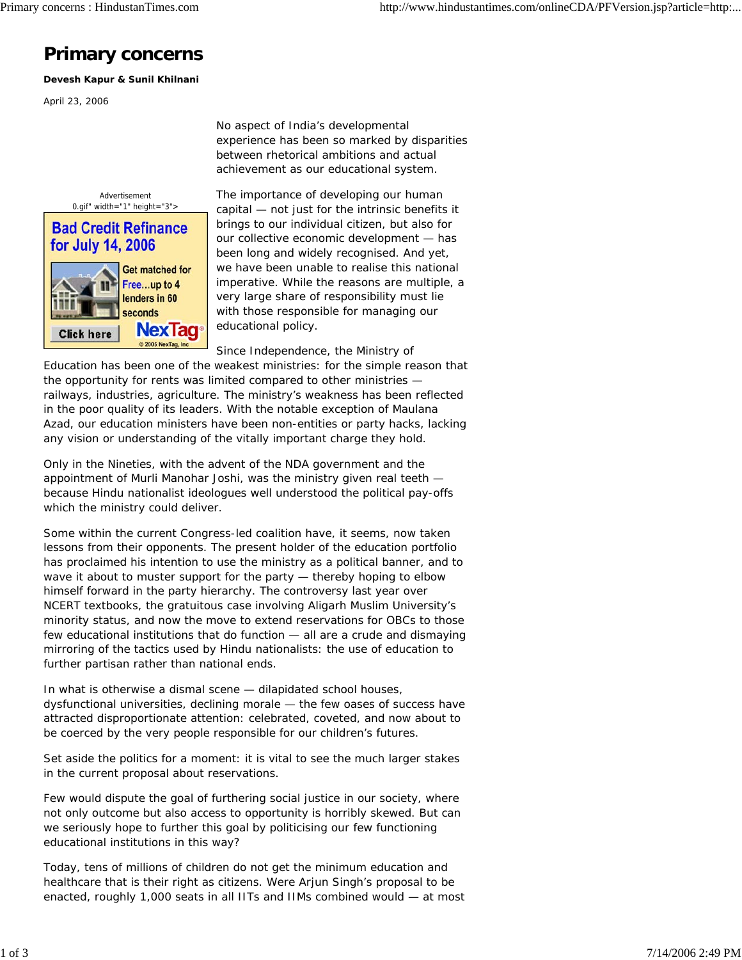## **Primary concerns**

**Devesh Kapur & Sunil Khilnani**

April 23, 2006

No aspect of India's developmental experience has been so marked by disparities between rhetorical ambitions and actual achievement as our educational system.



The importance of developing our human capital — not just for the intrinsic benefits it brings to our individual citizen, but also for our collective economic development — has been long and widely recognised. And yet, we have been unable to realise this national imperative. While the reasons are multiple, a very large share of responsibility must lie with those responsible for managing our educational policy.

Since Independence, the Ministry of

Education has been one of the weakest ministries: for the simple reason that the opportunity for rents was limited compared to other ministries railways, industries, agriculture. The ministry's weakness has been reflected in the poor quality of its leaders. With the notable exception of Maulana Azad, our education ministers have been non-entities or party hacks, lacking any vision or understanding of the vitally important charge they hold.

Only in the Nineties, with the advent of the NDA government and the appointment of Murli Manohar Joshi, was the ministry given real teeth because Hindu nationalist ideologues well understood the political pay-offs which the ministry could deliver.

Some within the current Congress-led coalition have, it seems, now taken lessons from their opponents. The present holder of the education portfolio has proclaimed his intention to use the ministry as a political banner, and to wave it about to muster support for the party — thereby hoping to elbow himself forward in the party hierarchy. The controversy last year over NCERT textbooks, the gratuitous case involving Aligarh Muslim University's minority status, and now the move to extend reservations for OBCs to those few educational institutions that do function — all are a crude and dismaying mirroring of the tactics used by Hindu nationalists: the use of education to further partisan rather than national ends.

In what is otherwise a dismal scene — dilapidated school houses, dysfunctional universities, declining morale — the few oases of success have attracted disproportionate attention: celebrated, coveted, and now about to be coerced by the very people responsible for our children's futures.

Set aside the politics for a moment: it is vital to see the much larger stakes in the current proposal about reservations.

Few would dispute the goal of furthering social justice in our society, where not only outcome but also access to opportunity is horribly skewed. But can we seriously hope to further this goal by politicising our few functioning educational institutions in this way?

Today, tens of millions of children do not get the minimum education and healthcare that is their right as citizens. Were Arjun Singh's proposal to be enacted, roughly 1,000 seats in all IITs and IIMs combined would — at most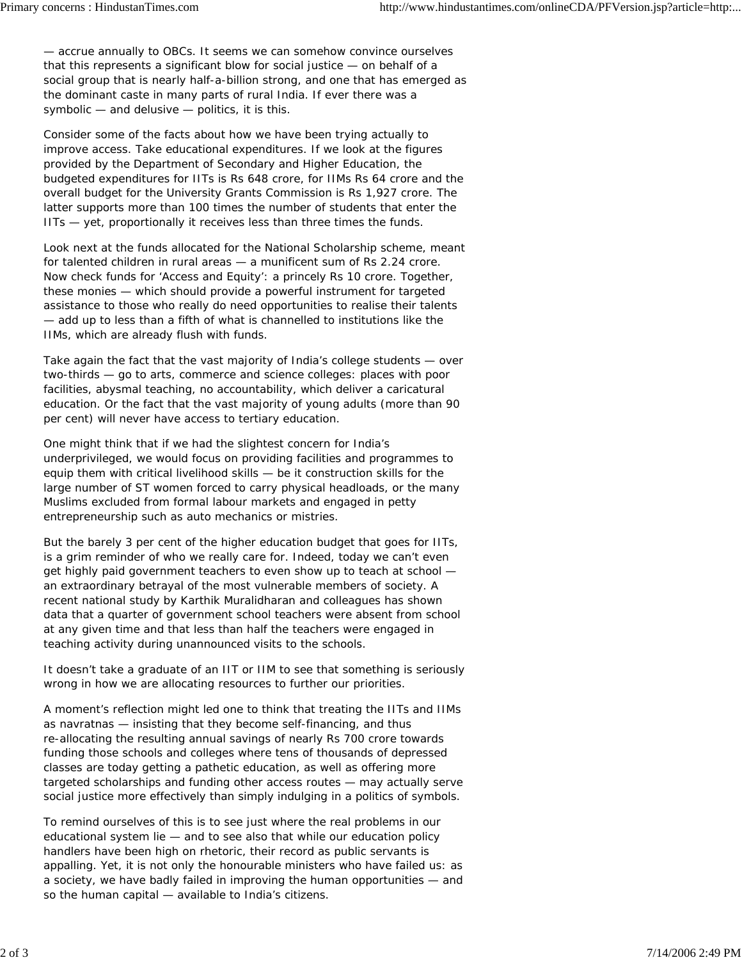— accrue annually to OBCs. It seems we can somehow convince ourselves that this represents a significant blow for social justice — on behalf of a social group that is nearly half-a-billion strong, and one that has emerged as the dominant caste in many parts of rural India. If ever there was a symbolic — and delusive — politics, it is this.

Consider some of the facts about how we have been trying actually to improve access. Take educational expenditures. If we look at the figures provided by the Department of Secondary and Higher Education, the budgeted expenditures for IITs is Rs 648 crore, for IIMs Rs 64 crore and the overall budget for the University Grants Commission is Rs 1,927 crore. The latter supports more than 100 times the number of students that enter the IITs — yet, proportionally it receives less than three times the funds.

Look next at the funds allocated for the National Scholarship scheme, meant for talented children in rural areas — a munificent sum of Rs 2.24 crore. Now check funds for 'Access and Equity': a princely Rs 10 crore. Together, these monies — which should provide a powerful instrument for targeted assistance to those who really do need opportunities to realise their talents — add up to less than a fifth of what is channelled to institutions like the IIMs, which are already flush with funds.

Take again the fact that the vast majority of India's college students — over two-thirds — go to arts, commerce and science colleges: places with poor facilities, abysmal teaching, no accountability, which deliver a caricatural education. Or the fact that the vast majority of young adults (more than 90 per cent) will never have access to tertiary education.

One might think that if we had the slightest concern for India's underprivileged, we would focus on providing facilities and programmes to equip them with critical livelihood skills — be it construction skills for the large number of ST women forced to carry physical headloads, or the many Muslims excluded from formal labour markets and engaged in petty entrepreneurship such as auto mechanics or mistries.

But the barely 3 per cent of the higher education budget that goes for IITs, is a grim reminder of who we really care for. Indeed, today we can't even get highly paid government teachers to even show up to teach at school an extraordinary betrayal of the most vulnerable members of society. A recent national study by Karthik Muralidharan and colleagues has shown data that a quarter of government school teachers were absent from school at any given time and that less than half the teachers were engaged in teaching activity during unannounced visits to the schools.

It doesn't take a graduate of an IIT or IIM to see that something is seriously wrong in how we are allocating resources to further our priorities.

A moment's reflection might led one to think that treating the IITs and IIMs as navratnas — insisting that they become self-financing, and thus re-allocating the resulting annual savings of nearly Rs 700 crore towards funding those schools and colleges where tens of thousands of depressed classes are today getting a pathetic education, as well as offering more targeted scholarships and funding other access routes — may actually serve social justice more effectively than simply indulging in a politics of symbols.

To remind ourselves of this is to see just where the real problems in our educational system lie — and to see also that while our education policy handlers have been high on rhetoric, their record as public servants is appalling. Yet, it is not only the honourable ministers who have failed us: as a society, we have badly failed in improving the human opportunities — and so the human capital — available to India's citizens.